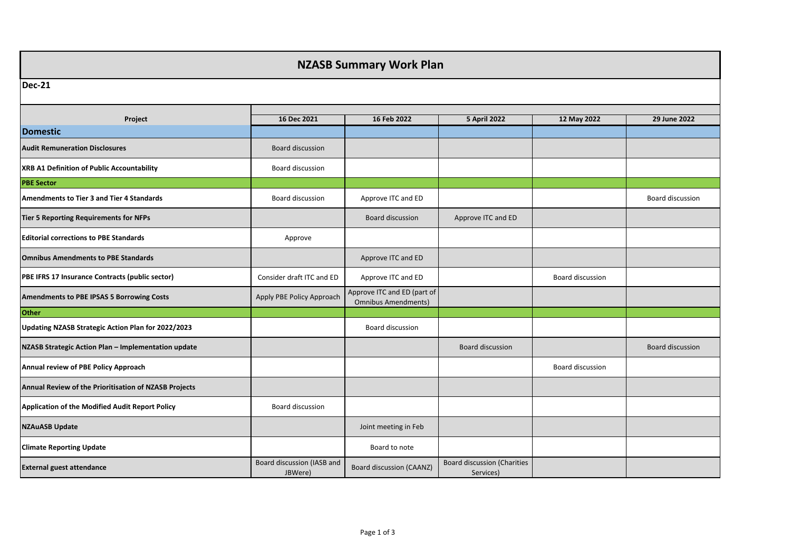## **NZASB Summary Work Plan**

## **Dec-21**

| Dec-21                                                |                                       |                                                           |                                                 |                  |                  |  |
|-------------------------------------------------------|---------------------------------------|-----------------------------------------------------------|-------------------------------------------------|------------------|------------------|--|
|                                                       |                                       |                                                           |                                                 |                  |                  |  |
| Project                                               | 16 Dec 2021                           | 16 Feb 2022                                               | <b>5 April 2022</b>                             | 12 May 2022      | 29 June 2022     |  |
| <b>Domestic</b>                                       |                                       |                                                           |                                                 |                  |                  |  |
| <b>Audit Remuneration Disclosures</b>                 | <b>Board discussion</b>               |                                                           |                                                 |                  |                  |  |
| XRB A1 Definition of Public Accountability            | Board discussion                      |                                                           |                                                 |                  |                  |  |
| <b>PBE Sector</b>                                     |                                       |                                                           |                                                 |                  |                  |  |
| <b>Amendments to Tier 3 and Tier 4 Standards</b>      | Board discussion                      | Approve ITC and ED                                        |                                                 |                  | Board discussion |  |
| <b>Tier 5 Reporting Requirements for NFPs</b>         |                                       | Board discussion                                          | Approve ITC and ED                              |                  |                  |  |
| <b>Editorial corrections to PBE Standards</b>         | Approve                               |                                                           |                                                 |                  |                  |  |
| <b>Omnibus Amendments to PBE Standards</b>            |                                       | Approve ITC and ED                                        |                                                 |                  |                  |  |
| PBE IFRS 17 Insurance Contracts (public sector)       | Consider draft ITC and ED             | Approve ITC and ED                                        |                                                 | Board discussion |                  |  |
| Amendments to PBE IPSAS 5 Borrowing Costs             | Apply PBE Policy Approach             | Approve ITC and ED (part of<br><b>Omnibus Amendments)</b> |                                                 |                  |                  |  |
| <b>Other</b>                                          |                                       |                                                           |                                                 |                  |                  |  |
| Updating NZASB Strategic Action Plan for 2022/2023    |                                       | Board discussion                                          |                                                 |                  |                  |  |
| NZASB Strategic Action Plan - Implementation update   |                                       |                                                           | <b>Board discussion</b>                         |                  | Board discussion |  |
| Annual review of PBE Policy Approach                  |                                       |                                                           |                                                 | Board discussion |                  |  |
| Annual Review of the Prioritisation of NZASB Projects |                                       |                                                           |                                                 |                  |                  |  |
| Application of the Modified Audit Report Policy       | <b>Board discussion</b>               |                                                           |                                                 |                  |                  |  |
| <b>NZAuASB Update</b>                                 |                                       | Joint meeting in Feb                                      |                                                 |                  |                  |  |
| <b>Climate Reporting Update</b>                       |                                       | Board to note                                             |                                                 |                  |                  |  |
| <b>External guest attendance</b>                      | Board discussion (IASB and<br>JBWere) | <b>Board discussion (CAANZ)</b>                           | <b>Board discussion (Charities</b><br>Services) |                  |                  |  |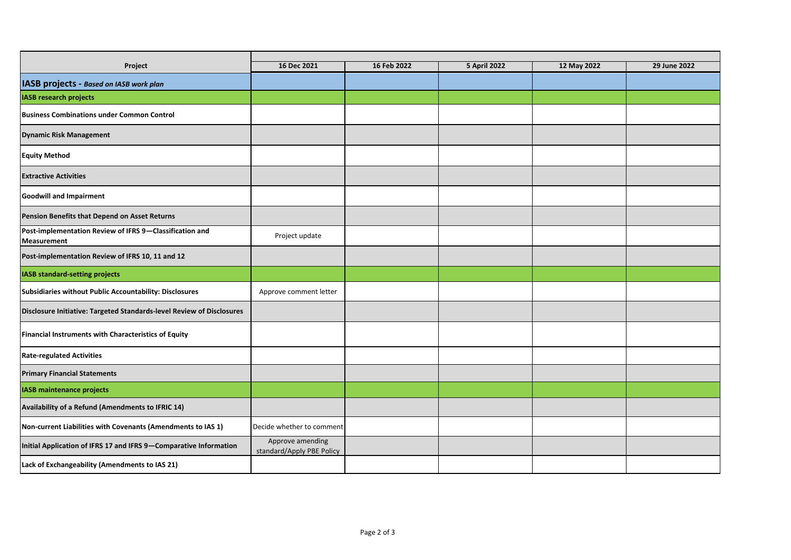| Project                                                                       | 16 Dec 2021                                   | 16 Feb 2022 | <b>5 April 2022</b> | 12 May 2022 | 29 June 2022 |
|-------------------------------------------------------------------------------|-----------------------------------------------|-------------|---------------------|-------------|--------------|
| IASB projects - Based on IASB work plan                                       |                                               |             |                     |             |              |
| <b>IASB research projects</b>                                                 |                                               |             |                     |             |              |
| <b>Business Combinations under Common Control</b>                             |                                               |             |                     |             |              |
| <b>Dynamic Risk Management</b>                                                |                                               |             |                     |             |              |
| <b>Equity Method</b>                                                          |                                               |             |                     |             |              |
| <b>Extractive Activities</b>                                                  |                                               |             |                     |             |              |
| <b>Goodwill and Impairment</b>                                                |                                               |             |                     |             |              |
| Pension Benefits that Depend on Asset Returns                                 |                                               |             |                     |             |              |
| Post-implementation Review of IFRS 9-Classification and<br><b>Measurement</b> | Project update                                |             |                     |             |              |
| Post-implementation Review of IFRS 10, 11 and 12                              |                                               |             |                     |             |              |
| <b>IASB standard-setting projects</b>                                         |                                               |             |                     |             |              |
| Subsidiaries without Public Accountability: Disclosures                       | Approve comment letter                        |             |                     |             |              |
| Disclosure Initiative: Targeted Standards-level Review of Disclosures         |                                               |             |                     |             |              |
| Financial Instruments with Characteristics of Equity                          |                                               |             |                     |             |              |
| <b>Rate-regulated Activities</b>                                              |                                               |             |                     |             |              |
| <b>Primary Financial Statements</b>                                           |                                               |             |                     |             |              |
| <b>IASB maintenance projects</b>                                              |                                               |             |                     |             |              |
| Availability of a Refund (Amendments to IFRIC 14)                             |                                               |             |                     |             |              |
| Non-current Liabilities with Covenants (Amendments to IAS 1)                  | Decide whether to comment                     |             |                     |             |              |
| Initial Application of IFRS 17 and IFRS 9-Comparative Information             | Approve amending<br>standard/Apply PBE Policy |             |                     |             |              |
| Lack of Exchangeability (Amendments to IAS 21)                                |                                               |             |                     |             |              |